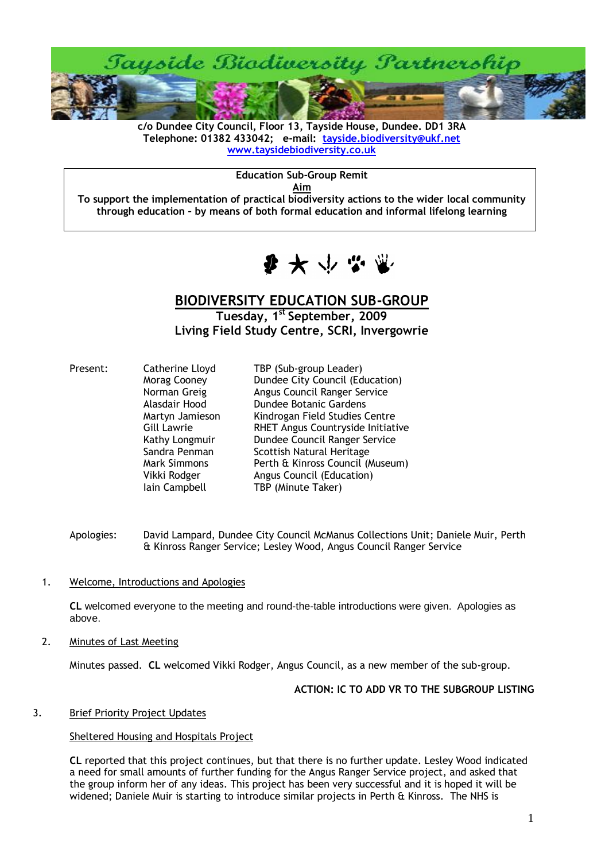

**c/o Dundee City Council, Floor 13, Tayside House, Dundee. DD1 3RA Telephone: 01382 433042; e-mail: [tayside.biodiversity@ukf.net](mailto:tayside.biodiversity@ukf.net)  [www.taysidebiodiversity.co.uk](http://www.taysidebiodiversity.co.uk/)**

**Education Sub-Group Remit**

**Aim**

**To support the implementation of practical biodiversity actions to the wider local community through education – by means of both formal education and informal lifelong learning**



# **BIODIVERSITY EDUCATION SUB-GROUP**

**Tuesday, 1 st September, 2009 Living Field Study Centre, SCRI, Invergowrie**

| Present: | Catherine Lloyd     | TBP (Sub-group Leader)            |
|----------|---------------------|-----------------------------------|
|          | Morag Cooney        | Dundee City Council (Education)   |
|          | Norman Greig        | Angus Council Ranger Service      |
|          | Alasdair Hood       | <b>Dundee Botanic Gardens</b>     |
|          | Martyn Jamieson     | Kindrogan Field Studies Centre    |
|          | Gill Lawrie         | RHET Angus Countryside Initiative |
|          | Kathy Longmuir      | Dundee Council Ranger Service     |
|          | Sandra Penman       | Scottish Natural Heritage         |
|          | <b>Mark Simmons</b> | Perth & Kinross Council (Museum)  |
|          | Vikki Rodger        | Angus Council (Education)         |
|          | lain Campbell       | TBP (Minute Taker)                |

- Apologies: David Lampard, Dundee City Council McManus Collections Unit; Daniele Muir, Perth & Kinross Ranger Service; Lesley Wood, Angus Council Ranger Service
- 1. Welcome, Introductions and Apologies

**CL** welcomed everyone to the meeting and round-the-table introductions were given. Apologies as above.

2. Minutes of Last Meeting

Minutes passed. **CL** welcomed Vikki Rodger, Angus Council, as a new member of the sub-group.

#### **ACTION: IC TO ADD VR TO THE SUBGROUP LISTING**

#### 3. Brief Priority Project Updates

#### Sheltered Housing and Hospitals Project

**CL** reported that this project continues, but that there is no further update. Lesley Wood indicated a need for small amounts of further funding for the Angus Ranger Service project, and asked that the group inform her of any ideas. This project has been very successful and it is hoped it will be widened; Daniele Muir is starting to introduce similar projects in Perth & Kinross. The NHS is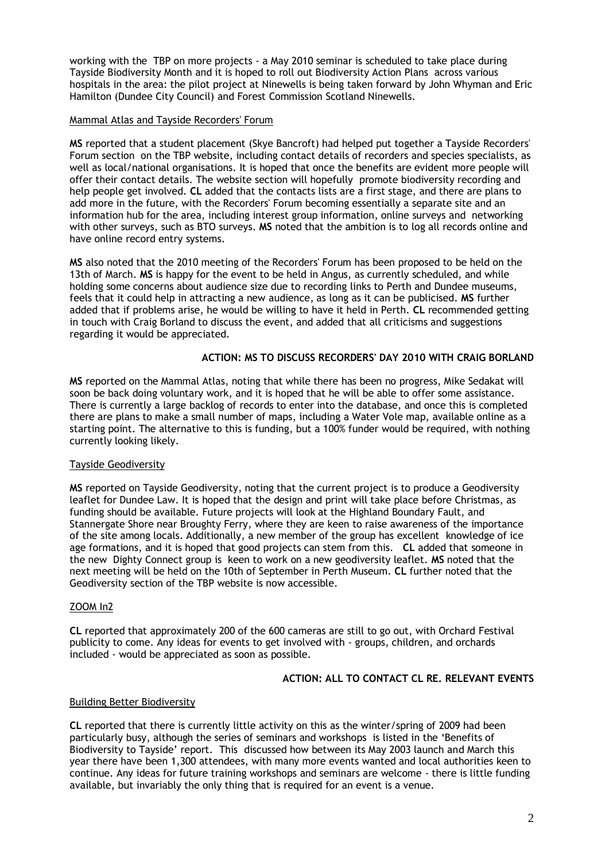working with the TBP on more projects - a May 2010 seminar is scheduled to take place during Tayside Biodiversity Month and it is hoped to roll out Biodiversity Action Plans across various hospitals in the area: the pilot project at Ninewells is being taken forward by John Whyman and Eric Hamilton (Dundee City Council) and Forest Commission Scotland Ninewells.

## Mammal Atlas and Tayside Recorders' Forum

**MS** reported that a student placement (Skye Bancroft) had helped put together a Tayside Recorders' Forum section on the TBP website, including contact details of recorders and species specialists, as well as local/national organisations. It is hoped that once the benefits are evident more people will offer their contact details. The website section will hopefully promote biodiversity recording and help people get involved. **CL** added that the contacts lists are a first stage, and there are plans to add more in the future, with the Recorders' Forum becoming essentially a separate site and an information hub for the area, including interest group information, online surveys and networking with other surveys, such as BTO surveys. **MS** noted that the ambition is to log all records online and have online record entry systems.

**MS** also noted that the 2010 meeting of the Recorders' Forum has been proposed to be held on the 13th of March. **MS** is happy for the event to be held in Angus, as currently scheduled, and while holding some concerns about audience size due to recording links to Perth and Dundee museums, feels that it could help in attracting a new audience, as long as it can be publicised. **MS** further added that if problems arise, he would be willing to have it held in Perth. **CL** recommended getting in touch with Craig Borland to discuss the event, and added that all criticisms and suggestions regarding it would be appreciated.

# **ACTION: MS TO DISCUSS RECORDERS' DAY 2010 WITH CRAIG BORLAND**

**MS** reported on the Mammal Atlas, noting that while there has been no progress, Mike Sedakat will soon be back doing voluntary work, and it is hoped that he will be able to offer some assistance. There is currently a large backlog of records to enter into the database, and once this is completed there are plans to make a small number of maps, including a Water Vole map, available online as a starting point. The alternative to this is funding, but a 100% funder would be required, with nothing currently looking likely.

#### Tayside Geodiversity

**MS** reported on Tayside Geodiversity, noting that the current project is to produce a Geodiversity leaflet for Dundee Law. It is hoped that the design and print will take place before Christmas, as funding should be available. Future projects will look at the Highland Boundary Fault, and Stannergate Shore near Broughty Ferry, where they are keen to raise awareness of the importance of the site among locals. Additionally, a new member of the group has excellent knowledge of ice age formations, and it is hoped that good projects can stem from this. **CL** added that someone in the new Dighty Connect group is keen to work on a new geodiversity leaflet. **MS** noted that the next meeting will be held on the 10th of September in Perth Museum. **CL** further noted that the Geodiversity section of the TBP website is now accessible.

#### ZOOM In2

**CL** reported that approximately 200 of the 600 cameras are still to go out, with Orchard Festival publicity to come. Any ideas for events to get involved with - groups, children, and orchards included - would be appreciated as soon as possible.

# **ACTION: ALL TO CONTACT CL RE. RELEVANT EVENTS**

#### Building Better Biodiversity

**CL** reported that there is currently little activity on this as the winter/spring of 2009 had been particularly busy, although the series of seminars and workshops is listed in the 'Benefits of Biodiversity to Tayside' report. This discussed how between its May 2003 launch and March this year there have been 1,300 attendees, with many more events wanted and local authorities keen to continue. Any ideas for future training workshops and seminars are welcome - there is little funding available, but invariably the only thing that is required for an event is a venue.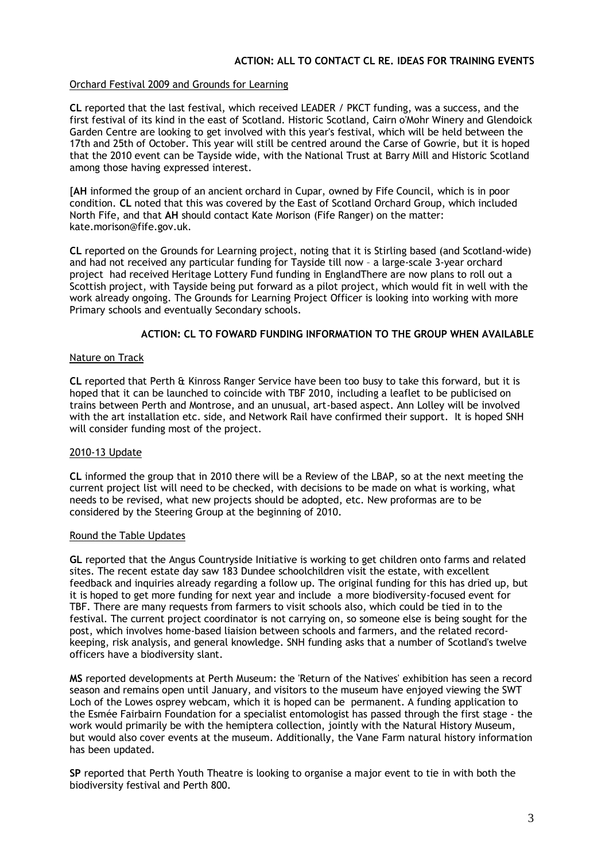# Orchard Festival 2009 and Grounds for Learning

**CL** reported that the last festival, which received LEADER / PKCT funding, was a success, and the first festival of its kind in the east of Scotland. Historic Scotland, Cairn o'Mohr Winery and Glendoick Garden Centre are looking to get involved with this year's festival, which will be held between the 17th and 25th of October. This year will still be centred around the Carse of Gowrie, but it is hoped that the 2010 event can be Tayside wide, with the National Trust at Barry Mill and Historic Scotland among those having expressed interest.

[**AH** informed the group of an ancient orchard in Cupar, owned by Fife Council, which is in poor condition. **CL** noted that this was covered by the East of Scotland Orchard Group, which included North Fife, and that **AH** should contact Kate Morison (Fife Ranger) on the matter: kate.morison@fife.gov.uk.

**CL** reported on the Grounds for Learning project, noting that it is Stirling based (and Scotland-wide) and had not received any particular funding for Tayside till now – a large-scale 3-year orchard project had received Heritage Lottery Fund funding in EnglandThere are now plans to roll out a Scottish project, with Tayside being put forward as a pilot project, which would fit in well with the work already ongoing. The Grounds for Learning Project Officer is looking into working with more Primary schools and eventually Secondary schools.

# **ACTION: CL TO FOWARD FUNDING INFORMATION TO THE GROUP WHEN AVAILABLE**

#### Nature on Track

**CL** reported that Perth & Kinross Ranger Service have been too busy to take this forward, but it is hoped that it can be launched to coincide with TBF 2010, including a leaflet to be publicised on trains between Perth and Montrose, and an unusual, art-based aspect. Ann Lolley will be involved with the art installation etc. side, and Network Rail have confirmed their support. It is hoped SNH will consider funding most of the project.

#### 2010-13 Update

**CL** informed the group that in 2010 there will be a Review of the LBAP, so at the next meeting the current project list will need to be checked, with decisions to be made on what is working, what needs to be revised, what new projects should be adopted, etc. New proformas are to be considered by the Steering Group at the beginning of 2010.

#### Round the Table Updates

**GL** reported that the Angus Countryside Initiative is working to get children onto farms and related sites. The recent estate day saw 183 Dundee schoolchildren visit the estate, with excellent feedback and inquiries already regarding a follow up. The original funding for this has dried up, but it is hoped to get more funding for next year and include a more biodiversity-focused event for TBF. There are many requests from farmers to visit schools also, which could be tied in to the festival. The current project coordinator is not carrying on, so someone else is being sought for the post, which involves home-based liaision between schools and farmers, and the related recordkeeping, risk analysis, and general knowledge. SNH funding asks that a number of Scotland's twelve officers have a biodiversity slant.

**MS** reported developments at Perth Museum: the 'Return of the Natives' exhibition has seen a record season and remains open until January, and visitors to the museum have enjoyed viewing the SWT Loch of the Lowes osprey webcam, which it is hoped can be permanent. A funding application to the Esmée Fairbairn Foundation for a specialist entomologist has passed through the first stage - the work would primarily be with the hemiptera collection, jointly with the Natural History Museum, but would also cover events at the museum. Additionally, the Vane Farm natural history information has been updated.

**SP** reported that Perth Youth Theatre is looking to organise a major event to tie in with both the biodiversity festival and Perth 800.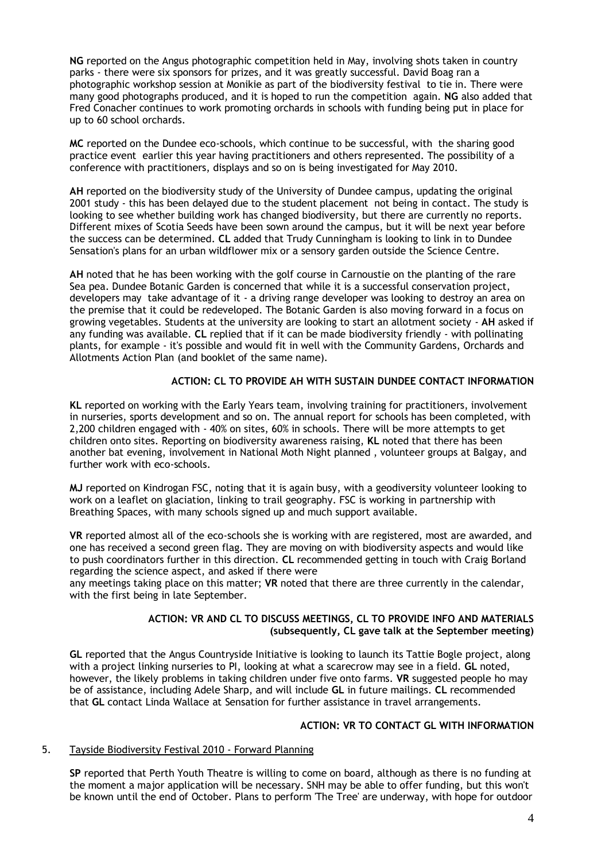**NG** reported on the Angus photographic competition held in May, involving shots taken in country parks - there were six sponsors for prizes, and it was greatly successful. David Boag ran a photographic workshop session at Monikie as part of the biodiversity festival to tie in. There were many good photographs produced, and it is hoped to run the competition again. **NG** also added that Fred Conacher continues to work promoting orchards in schools with funding being put in place for up to 60 school orchards.

**MC** reported on the Dundee eco-schools, which continue to be successful, with the sharing good practice event earlier this year having practitioners and others represented. The possibility of a conference with practitioners, displays and so on is being investigated for May 2010.

**AH** reported on the biodiversity study of the University of Dundee campus, updating the original 2001 study - this has been delayed due to the student placement not being in contact. The study is looking to see whether building work has changed biodiversity, but there are currently no reports. Different mixes of Scotia Seeds have been sown around the campus, but it will be next year before the success can be determined. **CL** added that Trudy Cunningham is looking to link in to Dundee Sensation's plans for an urban wildflower mix or a sensory garden outside the Science Centre.

**AH** noted that he has been working with the golf course in Carnoustie on the planting of the rare Sea pea. Dundee Botanic Garden is concerned that while it is a successful conservation project, developers may take advantage of it - a driving range developer was looking to destroy an area on the premise that it could be redeveloped. The Botanic Garden is also moving forward in a focus on growing vegetables. Students at the university are looking to start an allotment society - **AH** asked if any funding was available. **CL** replied that if it can be made biodiversity friendly - with pollinating plants, for example - it's possible and would fit in well with the Community Gardens, Orchards and Allotments Action Plan (and booklet of the same name).

#### **ACTION: CL TO PROVIDE AH WITH SUSTAIN DUNDEE CONTACT INFORMATION**

**KL** reported on working with the Early Years team, involving training for practitioners, involvement in nurseries, sports development and so on. The annual report for schools has been completed, with 2,200 children engaged with - 40% on sites, 60% in schools. There will be more attempts to get children onto sites. Reporting on biodiversity awareness raising, **KL** noted that there has been another bat evening, involvement in National Moth Night planned , volunteer groups at Balgay, and further work with eco-schools.

**MJ** reported on Kindrogan FSC, noting that it is again busy, with a geodiversity volunteer looking to work on a leaflet on glaciation, linking to trail geography. FSC is working in partnership with Breathing Spaces, with many schools signed up and much support available.

**VR** reported almost all of the eco-schools she is working with are registered, most are awarded, and one has received a second green flag. They are moving on with biodiversity aspects and would like to push coordinators further in this direction. **CL** recommended getting in touch with Craig Borland regarding the science aspect, and asked if there were

any meetings taking place on this matter; **VR** noted that there are three currently in the calendar, with the first being in late September.

#### **ACTION: VR AND CL TO DISCUSS MEETINGS, CL TO PROVIDE INFO AND MATERIALS (subsequently, CL gave talk at the September meeting)**

**GL** reported that the Angus Countryside Initiative is looking to launch its Tattie Bogle project, along with a project linking nurseries to PI, looking at what a scarecrow may see in a field. **GL** noted, however, the likely problems in taking children under five onto farms. **VR** suggested people ho may be of assistance, including Adele Sharp, and will include **GL** in future mailings. **CL** recommended that **GL** contact Linda Wallace at Sensation for further assistance in travel arrangements.

### **ACTION: VR TO CONTACT GL WITH INFORMATION**

#### 5. Tayside Biodiversity Festival 2010 - Forward Planning

**SP** reported that Perth Youth Theatre is willing to come on board, although as there is no funding at the moment a major application will be necessary. SNH may be able to offer funding, but this won't be known until the end of October. Plans to perform 'The Tree' are underway, with hope for outdoor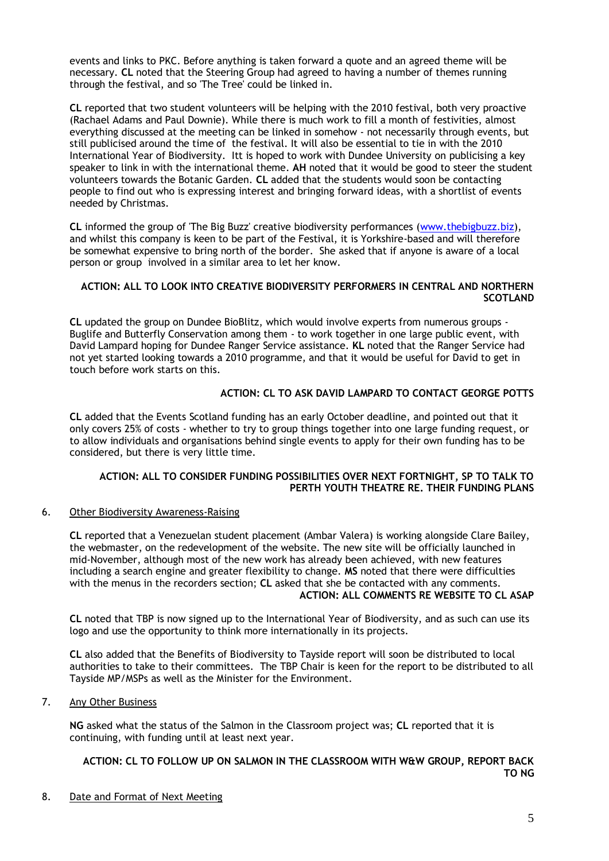events and links to PKC. Before anything is taken forward a quote and an agreed theme will be necessary. **CL** noted that the Steering Group had agreed to having a number of themes running through the festival, and so 'The Tree' could be linked in.

**CL** reported that two student volunteers will be helping with the 2010 festival, both very proactive (Rachael Adams and Paul Downie). While there is much work to fill a month of festivities, almost everything discussed at the meeting can be linked in somehow - not necessarily through events, but still publicised around the time of the festival. It will also be essential to tie in with the 2010 International Year of Biodiversity. Itt is hoped to work with Dundee University on publicising a key speaker to link in with the international theme. **AH** noted that it would be good to steer the student volunteers towards the Botanic Garden. **CL** added that the students would soon be contacting people to find out who is expressing interest and bringing forward ideas, with a shortlist of events needed by Christmas.

**CL** informed the group of 'The Big Buzz' creative biodiversity performances [\(www.thebigbuzz.biz\)](http://www.thebigbuzz.biz/), and whilst this company is keen to be part of the Festival, it is Yorkshire-based and will therefore be somewhat expensive to bring north of the border. She asked that if anyone is aware of a local person or group involved in a similar area to let her know.

# **ACTION: ALL TO LOOK INTO CREATIVE BIODIVERSITY PERFORMERS IN CENTRAL AND NORTHERN SCOTLAND**

**CL** updated the group on Dundee BioBlitz, which would involve experts from numerous groups - Buglife and Butterfly Conservation among them - to work together in one large public event, with David Lampard hoping for Dundee Ranger Service assistance. **KL** noted that the Ranger Service had not yet started looking towards a 2010 programme, and that it would be useful for David to get in touch before work starts on this.

# **ACTION: CL TO ASK DAVID LAMPARD TO CONTACT GEORGE POTTS**

**CL** added that the Events Scotland funding has an early October deadline, and pointed out that it only covers 25% of costs - whether to try to group things together into one large funding request, or to allow individuals and organisations behind single events to apply for their own funding has to be considered, but there is very little time.

#### **ACTION: ALL TO CONSIDER FUNDING POSSIBILITIES OVER NEXT FORTNIGHT, SP TO TALK TO PERTH YOUTH THEATRE RE. THEIR FUNDING PLANS**

#### 6. Other Biodiversity Awareness-Raising

**CL** reported that a Venezuelan student placement (Ambar Valera) is working alongside Clare Bailey, the webmaster, on the redevelopment of the website. The new site will be officially launched in mid-November, although most of the new work has already been achieved, with new features including a search engine and greater flexibility to change. **MS** noted that there were difficulties with the menus in the recorders section; **CL** asked that she be contacted with any comments. **ACTION: ALL COMMENTS RE WEBSITE TO CL ASAP**

**CL** noted that TBP is now signed up to the International Year of Biodiversity, and as such can use its logo and use the opportunity to think more internationally in its projects.

**CL** also added that the Benefits of Biodiversity to Tayside report will soon be distributed to local authorities to take to their committees. The TBP Chair is keen for the report to be distributed to all Tayside MP/MSPs as well as the Minister for the Environment.

#### 7. Any Other Business

**NG** asked what the status of the Salmon in the Classroom project was; **CL** reported that it is continuing, with funding until at least next year.

# **ACTION: CL TO FOLLOW UP ON SALMON IN THE CLASSROOM WITH W&W GROUP, REPORT BACK TO NG**